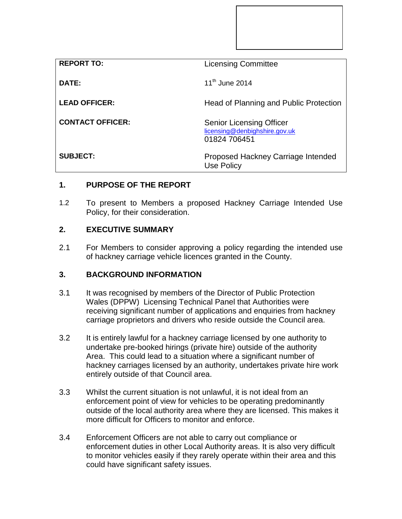| <b>REPORT TO:</b>       | <b>Licensing Committee</b>                                                       |
|-------------------------|----------------------------------------------------------------------------------|
| DATE:                   | $11^{th}$ June 2014                                                              |
| <b>LEAD OFFICER:</b>    | Head of Planning and Public Protection                                           |
| <b>CONTACT OFFICER:</b> | <b>Senior Licensing Officer</b><br>licensing@denbighshire.gov.uk<br>01824 706451 |
| <b>SUBJECT:</b>         | Proposed Hackney Carriage Intended<br><b>Use Policy</b>                          |

# **1. PURPOSE OF THE REPORT**

1.2 To present to Members a proposed Hackney Carriage Intended Use Policy, for their consideration.

## **2. EXECUTIVE SUMMARY**

2.1 For Members to consider approving a policy regarding the intended use of hackney carriage vehicle licences granted in the County.

## **3. BACKGROUND INFORMATION**

- 3.1 It was recognised by members of the Director of Public Protection Wales (DPPW) Licensing Technical Panel that Authorities were receiving significant number of applications and enquiries from hackney carriage proprietors and drivers who reside outside the Council area.
- 3.2 It is entirely lawful for a hackney carriage licensed by one authority to undertake pre-booked hirings (private hire) outside of the authority Area. This could lead to a situation where a significant number of hackney carriages licensed by an authority, undertakes private hire work entirely outside of that Council area.
- 3.3 Whilst the current situation is not unlawful, it is not ideal from an enforcement point of view for vehicles to be operating predominantly outside of the local authority area where they are licensed. This makes it more difficult for Officers to monitor and enforce.
- 3.4 Enforcement Officers are not able to carry out compliance or enforcement duties in other Local Authority areas. It is also very difficult to monitor vehicles easily if they rarely operate within their area and this could have significant safety issues.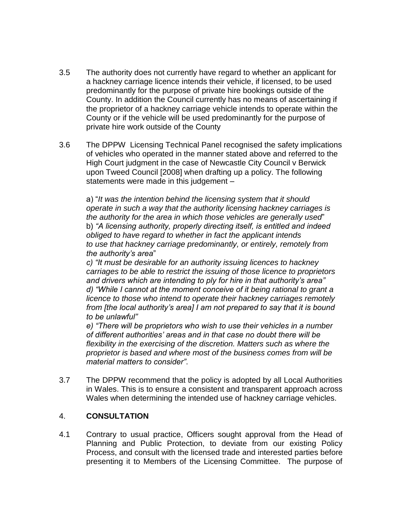- 3.5 The authority does not currently have regard to whether an applicant for a hackney carriage licence intends their vehicle, if licensed, to be used predominantly for the purpose of private hire bookings outside of the County. In addition the Council currently has no means of ascertaining if the proprietor of a hackney carriage vehicle intends to operate within the County or if the vehicle will be used predominantly for the purpose of private hire work outside of the County
- 3.6 The DPPW Licensing Technical Panel recognised the safety implications of vehicles who operated in the manner stated above and referred to the High Court judgment in the case of Newcastle City Council v Berwick upon Tweed Council [2008] when drafting up a policy. The following statements were made in this judgement –

a) "*It was the intention behind the licensing system that it should operate in such a way that the authority licensing hackney carriages is the authority for the area in which those vehicles are generally used*" b) *"A licensing authority, properly directing itself, is entitled and indeed obliged to have regard to whether in fact the applicant intends to use that hackney carriage predominantly, or entirely, remotely from the authority's area*"

*c) "It must be desirable for an authority issuing licences to hackney carriages to be able to restrict the issuing of those licence to proprietors and drivers which are intending to ply for hire in that authority's area" d) "While I cannot at the moment conceive of it being rational to grant a licence to those who intend to operate their hackney carriages remotely from [the local authority's area] I am not prepared to say that it is bound to be unlawful"*

*e) "There will be proprietors who wish to use their vehicles in a number of different authorities' areas and in that case no doubt there will be flexibility in the exercising of the discretion. Matters such as where the proprietor is based and where most of the business comes from will be material matters to consider"*.

3.7 The DPPW recommend that the policy is adopted by all Local Authorities in Wales. This is to ensure a consistent and transparent approach across Wales when determining the intended use of hackney carriage vehicles.

## 4. **CONSULTATION**

4.1 Contrary to usual practice, Officers sought approval from the Head of Planning and Public Protection, to deviate from our existing Policy Process, and consult with the licensed trade and interested parties before presenting it to Members of the Licensing Committee. The purpose of